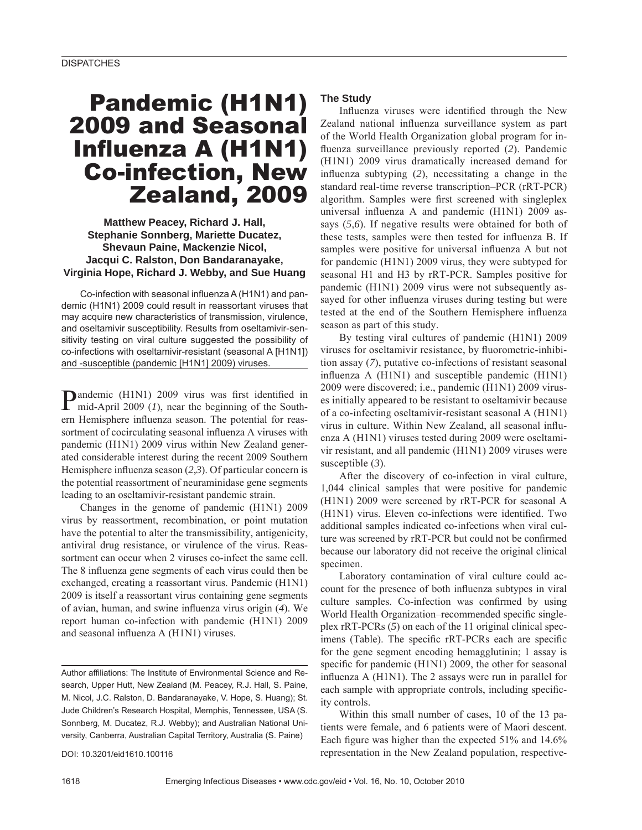# Pandemic (H1N1) 2009 and Seasonal Influenza A (H1N1) Co-infection, New Zealand, 2009

# **Matthew Peacey, Richard J. Hall, Stephanie Sonnberg, Mariette Ducatez, Shevaun Paine, Mackenzie Nicol, Jacqui C. Ralston, Don Bandaranayake, Virginia Hope, Richard J. Webby, and Sue Huang**

Co-infection with seasonal influenza A (H1N1) and pandemic (H1N1) 2009 could result in reassortant viruses that may acquire new characteristics of transmission, virulence, and oseltamivir susceptibility. Results from oseltamivir-sensitivity testing on viral culture suggested the possibility of co-infections with oseltamivir-resistant (seasonal A [H1N1]) and -susceptible (pandemic [H1N1] 2009) viruses.

**Pandemic (H1N1) 2009 virus was first identified in** mid-Anril 2009 (1)  $\frac{1}{2}$ mid-April 2009 (*1*), near the beginning of the Southern Hemisphere influenza season. The potential for reassortment of cocirculating seasonal influenza A viruses with pandemic (H1N1) 2009 virus within New Zealand generated considerable interest during the recent 2009 Southern Hemisphere influenza season (2,3). Of particular concern is the potential reassortment of neuraminidase gene segments leading to an oseltamivir-resistant pandemic strain.

Changes in the genome of pandemic (H1N1) 2009 virus by reassortment, recombination, or point mutation have the potential to alter the transmissibility, antigenicity, antiviral drug resistance, or virulence of the virus. Reassortment can occur when 2 viruses co-infect the same cell. The 8 influenza gene segments of each virus could then be exchanged, creating a reassortant virus. Pandemic (H1N1) 2009 is itself a reassortant virus containing gene segments of avian, human, and swine influenza virus origin (4). We report human co-infection with pandemic (H1N1) 2009 and seasonal influenza  $A$  ( $H1N1$ ) viruses.

Author affiliations: The Institute of Environmental Science and Research, Upper Hutt, New Zealand (M. Peacey, R.J. Hall, S. Paine, M. Nicol, J.C. Ralston, D. Bandaranayake, V. Hope, S. Huang); St. Jude Children's Research Hospital, Memphis, Tennessee, USA (S. Sonnberg, M. Ducatez, R.J. Webby); and Australian National University, Canberra, Australian Capital Territory, Australia (S. Paine)

DOI: 10.3201/eid1610.100116

## **The Study**

Influenza viruses were identified through the New Zealand national influenza surveillance system as part of the World Health Organization global program for influenza surveillance previously reported (2). Pandemic (H1N1) 2009 virus dramatically increased demand for influenza subtyping (2), necessitating a change in the standard real-time reverse transcription–PCR (rRT-PCR) algorithm. Samples were first screened with singleplex universal influenza A and pandemic  $(H1N1)$  2009 assays (*5*,*6*). If negative results were obtained for both of these tests, samples were then tested for influenza B. If samples were positive for universal influenza A but not for pandemic (H1N1) 2009 virus, they were subtyped for seasonal H1 and H3 by rRT-PCR. Samples positive for pandemic (H1N1) 2009 virus were not subsequently assayed for other influenza viruses during testing but were tested at the end of the Southern Hemisphere influenza season as part of this study.

By testing viral cultures of pandemic (H1N1) 2009 viruses for oseltamivir resistance, by fluorometric-inhibition assay (*7*), putative co-infections of resistant seasonal influenza A  $(H1N1)$  and susceptible pandemic  $(H1N1)$ 2009 were discovered; i.e., pandemic (H1N1) 2009 viruses initially appeared to be resistant to oseltamivir because of a co-infecting oseltamivir-resistant seasonal A (H1N1) virus in culture. Within New Zealand, all seasonal influenza A (H1N1) viruses tested during 2009 were oseltamivir resistant, and all pandemic (H1N1) 2009 viruses were susceptible (*3*).

After the discovery of co-infection in viral culture, 1,044 clinical samples that were positive for pandemic (H1N1) 2009 were screened by rRT-PCR for seasonal A (H1N1) virus. Eleven co-infections were identified. Two additional samples indicated co-infections when viral culture was screened by rRT-PCR but could not be confirmed because our laboratory did not receive the original clinical specimen.

Laboratory contamination of viral culture could account for the presence of both influenza subtypes in viral culture samples. Co-infection was confirmed by using World Health Organization–recommended specific singleplex rRT-PCRs (*5*) on each of the 11 original clinical specimens (Table). The specific rRT-PCRs each are specific for the gene segment encoding hemagglutinin; 1 assay is specific for pandemic (H1N1) 2009, the other for seasonal influenza  $A$  (H1N1). The 2 assays were run in parallel for each sample with appropriate controls, including specificity controls.

Within this small number of cases, 10 of the 13 patients were female, and 6 patients were of Maori descent. Each figure was higher than the expected  $51\%$  and  $14.6\%$ representation in the New Zealand population, respective-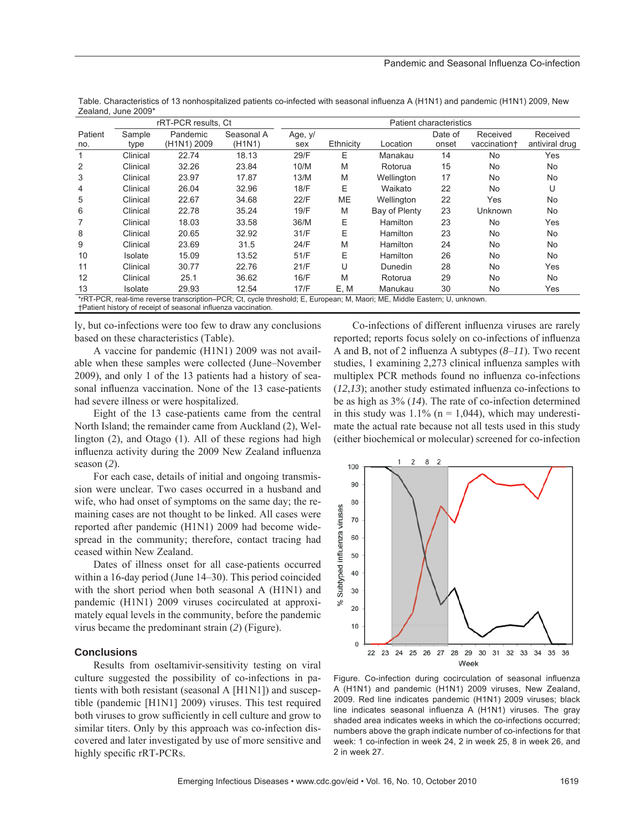|                                                                                                                            | rRT-PCR results, Ct |             |                                  | <b>Patient characteristics</b> |           |                 |         |                |                |
|----------------------------------------------------------------------------------------------------------------------------|---------------------|-------------|----------------------------------|--------------------------------|-----------|-----------------|---------|----------------|----------------|
| Patient                                                                                                                    | Sample              | Pandemic    | Seasonal A                       | Age, y/                        |           |                 | Date of | Received       | Received       |
| no.                                                                                                                        | type                | (H1N1) 2009 | (H <sub>1</sub> N <sub>1</sub> ) | sex                            | Ethnicity | Location        | onset   | vaccination+   | antiviral drug |
|                                                                                                                            | Clinical            | 22.74       | 18.13                            | 29/F                           | Ε         | Manakau         | 14      | <b>No</b>      | Yes            |
| 2                                                                                                                          | Clinical            | 32.26       | 23.84                            | 10/M                           | M         | Rotorua         | 15      | No.            | <b>No</b>      |
| 3                                                                                                                          | Clinical            | 23.97       | 17.87                            | 13/M                           | M         | Wellington      | 17      | No             | <b>No</b>      |
| 4                                                                                                                          | Clinical            | 26.04       | 32.96                            | 18/F                           | Е         | Waikato         | 22      | <b>No</b>      | U              |
| 5                                                                                                                          | Clinical            | 22.67       | 34.68                            | 22/F                           | <b>ME</b> | Wellington      | 22      | Yes            | <b>No</b>      |
| 6                                                                                                                          | Clinical            | 22.78       | 35.24                            | 19/F                           | M         | Bay of Plenty   | 23      | <b>Unknown</b> | <b>No</b>      |
|                                                                                                                            | Clinical            | 18.03       | 33.58                            | 36/M                           | Е         | <b>Hamilton</b> | 23      | No.            | Yes            |
| 8                                                                                                                          | Clinical            | 20.65       | 32.92                            | 31/F                           | Е         | Hamilton        | 23      | No             | <b>No</b>      |
| 9                                                                                                                          | Clinical            | 23.69       | 31.5                             | 24/F                           | M         | Hamilton        | 24      | <b>No</b>      | <b>No</b>      |
| 10                                                                                                                         | Isolate             | 15.09       | 13.52                            | 51/F                           | Ε         | Hamilton        | 26      | No             | <b>No</b>      |
| 11                                                                                                                         | Clinical            | 30.77       | 22.76                            | 21/F                           | U         | Dunedin         | 28      | <b>No</b>      | Yes            |
| 12                                                                                                                         | Clinical            | 25.1        | 36.62                            | 16/F                           | M         | Rotorua         | 29      | <b>No</b>      | No.            |
| 13                                                                                                                         | Isolate             | 29.93       | 12.54                            | 17/F                           | E, M      | Manukau         | 30      | <b>No</b>      | Yes            |
| *rRT-PCR, real-time reverse transcription–PCR; Ct, cycle threshold; E, European; M, Maori; ME, Middle Eastern; U, unknown. |                     |             |                                  |                                |           |                 |         |                |                |
| +Patient history of receipt of seasonal influenza vaccination.                                                             |                     |             |                                  |                                |           |                 |         |                |                |

Table. Characteristics of 13 nonhospitalized patients co-infected with seasonal influenza A (H1N1) and pandemic (H1N1) 2009, New Zealand, June 2009\*

ly, but co-infections were too few to draw any conclusions based on these characteristics (Table).

A vaccine for pandemic (H1N1) 2009 was not available when these samples were collected (June–November 2009), and only 1 of the 13 patients had a history of seasonal influenza vaccination. None of the 13 case-patients had severe illness or were hospitalized.

Eight of the 13 case-patients came from the central North Island; the remainder came from Auckland (2), Wellington (2), and Otago (1). All of these regions had high influenza activity during the 2009 New Zealand influenza season (*2*).

For each case, details of initial and ongoing transmission were unclear. Two cases occurred in a husband and wife, who had onset of symptoms on the same day; the remaining cases are not thought to be linked. All cases were reported after pandemic (H1N1) 2009 had become widespread in the community; therefore, contact tracing had ceased within New Zealand.

Dates of illness onset for all case-patients occurred within a 16-day period (June 14–30). This period coincided with the short period when both seasonal A (H1N1) and pandemic (H1N1) 2009 viruses cocirculated at approximately equal levels in the community, before the pandemic virus became the predominant strain (*2*) (Figure).

### **Conclusions**

Results from oseltamivir-sensitivity testing on viral culture suggested the possibility of co-infections in patients with both resistant (seasonal A [H1N1]) and susceptible (pandemic [H1N1] 2009) viruses. This test required both viruses to grow sufficiently in cell culture and grow to similar titers. Only by this approach was co-infection discovered and later investigated by use of more sensitive and highly specific rRT-PCRs.

Co-infections of different influenza viruses are rarely reported; reports focus solely on co-infections of influenza A and B, not of 2 influenza A subtypes  $(8-11)$ . Two recent studies, 1 examining 2,273 clinical influenza samples with multiplex PCR methods found no influenza co-infections  $(12,13)$ ; another study estimated influenza co-infections to be as high as 3% (*14*). The rate of co-infection determined in this study was  $1.1\%$  (n = 1,044), which may underestimate the actual rate because not all tests used in this study (either biochemical or molecular) screened for co-infection



Figure. Co-infection during cocirculation of seasonal influenza A (H1N1) and pandemic (H1N1) 2009 viruses, New Zealand, 2009. Red line indicates pandemic (H1N1) 2009 viruses; black line indicates seasonal influenza A (H1N1) viruses. The gray shaded area indicates weeks in which the co-infections occurred; numbers above the graph indicate number of co-infections for that week: 1 co-infection in week 24, 2 in week 25, 8 in week 26, and 2 in week 27.